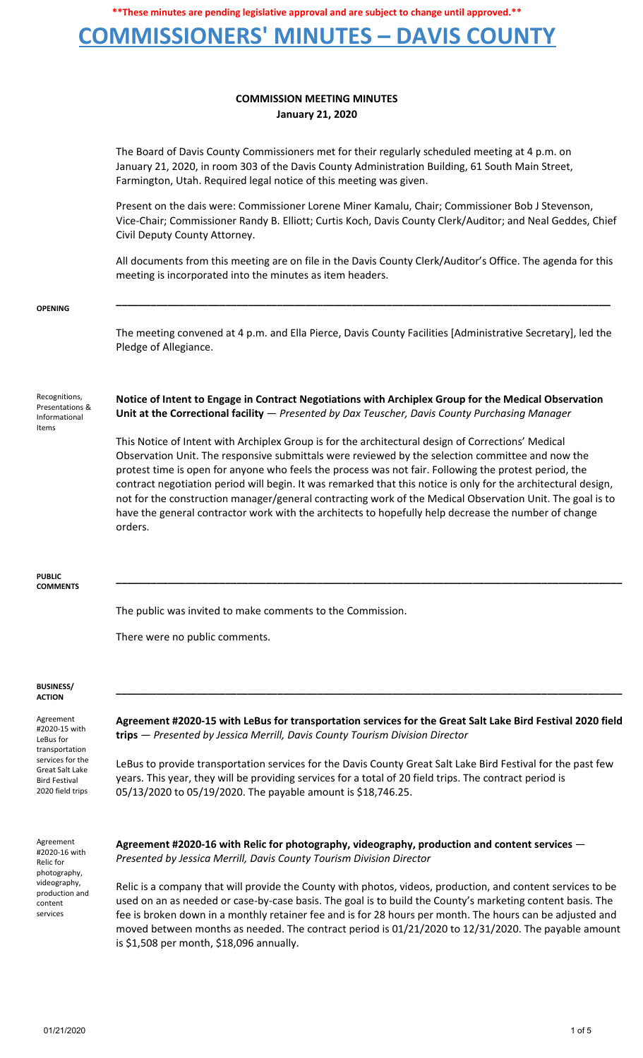## **COMMISSIONERS' MINUTES – DAVIS COUNTY**

### **COMMISSION MEETING MINUTES January 21, 2020**

The Board of Davis County Commissioners met for their regularly scheduled meeting at 4 p.m. on January 21, 2020, in room 303 of the Davis County Administration Building, 61 South Main Street, Farmington, Utah. Required legal notice of this meeting was given.

Present on the dais were: Commissioner Lorene Miner Kamalu, Chair; Commissioner Bob J Stevenson, Vice-Chair; Commissioner Randy B. Elliott; Curtis Koch, Davis County Clerk/Auditor; and Neal Geddes, Chief Civil Deputy County Attorney.

All documents from this meeting are on file in the Davis County Clerk/Auditor's Office. The agenda for this meeting is incorporated into the minutes as item headers.

**\_\_\_\_\_\_\_\_\_\_\_\_\_\_\_\_\_\_\_\_\_\_\_\_\_\_\_\_\_\_\_\_\_\_\_\_\_\_\_\_\_\_\_\_\_\_\_\_\_\_\_\_\_\_\_\_\_\_\_\_\_\_\_\_\_\_\_\_\_\_\_\_\_\_\_\_\_\_\_\_\_\_\_\_\_\_**

**OPENING**

The meeting convened at 4 p.m. and Ella Pierce, Davis County Facilities [Administrative Secretary], led the Pledge of Allegiance.

Recognitions, Presentations & Informational Items

**Notice of Intent to Engage in Contract Negotiations with Archiplex Group for the Medical Observation Unit at the Correctional facility** — *Presented by Dax Teuscher, Davis County Purchasing Manager*

This Notice of Intent with Archiplex Group is for the architectural design of Corrections' Medical Observation Unit. The responsive submittals were reviewed by the selection committee and now the protest time is open for anyone who feels the process was not fair. Following the protest period, the contract negotiation period will begin. It was remarked that this notice is only for the architectural design, not for the construction manager/general contracting work of the Medical Observation Unit. The goal is to have the general contractor work with the architects to hopefully help decrease the number of change orders.

**\_\_\_\_\_\_\_\_\_\_\_\_\_\_\_\_\_\_\_\_\_\_\_\_\_\_\_\_\_\_\_\_\_\_\_\_\_\_\_\_\_\_\_\_\_\_\_\_\_\_\_\_\_\_\_\_\_\_\_\_\_\_\_\_\_\_\_\_\_\_\_\_\_\_\_\_\_\_\_\_\_\_\_\_\_\_\_\_**

**PUBLIC COMMENTS**

The public was invited to make comments to the Commission.

There were no public comments.

#### **BUSINESS/ ACTION**

Agreement #2020-15 with LeBus for transportation services for the Great Salt Lake Bird Festival 2020 field trips

**Agreement #2020-15 with LeBus for transportation services for the Great Salt Lake Bird Festival 2020 field trips** — *Presented by Jessica Merrill, Davis County Tourism Division Director*

**\_\_\_\_\_\_\_\_\_\_\_\_\_\_\_\_\_\_\_\_\_\_\_\_\_\_\_\_\_\_\_\_\_\_\_\_\_\_\_\_\_\_\_\_\_\_\_\_\_\_\_\_\_\_\_\_\_\_\_\_\_\_\_\_\_\_\_\_\_\_\_\_\_\_\_\_\_\_\_\_\_\_\_\_\_\_\_\_**

LeBus to provide transportation services for the Davis County Great Salt Lake Bird Festival for the past few years. This year, they will be providing services for a total of 20 field trips. The contract period is 05/13/2020 to 05/19/2020. The payable amount is \$18,746.25.

Agreement #2020-16 with Relic for photography, videography, production and content services

**Agreement #2020-16 with Relic for photography, videography, production and content services** — *Presented by Jessica Merrill, Davis County Tourism Division Director*

Relic is a company that will provide the County with photos, videos, production, and content services to be used on an as needed or case-by-case basis. The goal is to build the County's marketing content basis. The fee is broken down in a monthly retainer fee and is for 28 hours per month. The hours can be adjusted and moved between months as needed. The contract period is 01/21/2020 to 12/31/2020. The payable amount is \$1,508 per month, \$18,096 annually.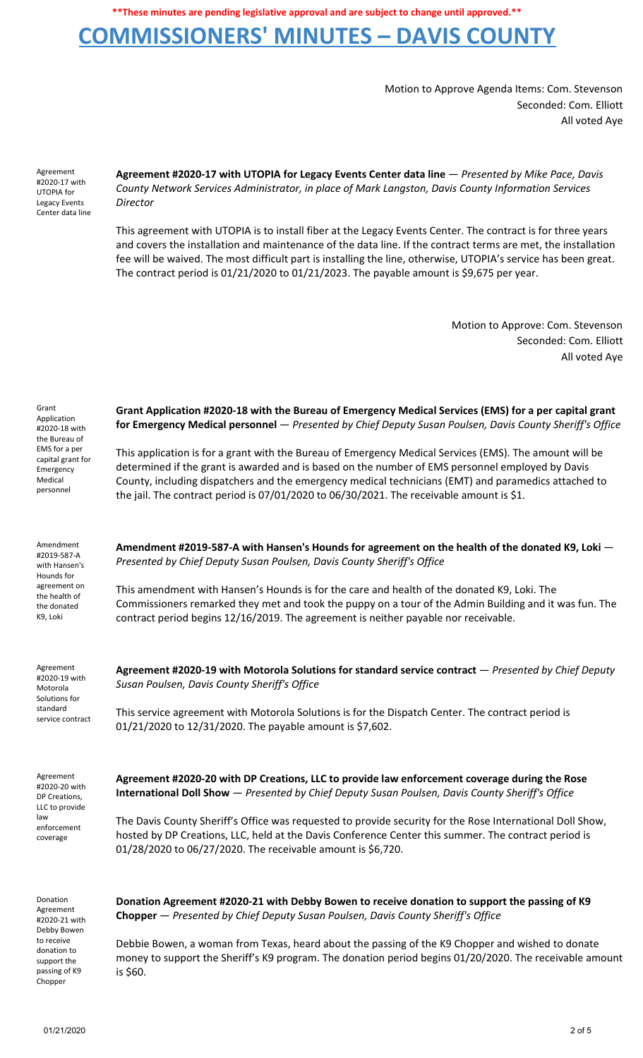# **COMMISSIONERS' MINUTES – DAVIS COUNTY**

Motion to Approve Agenda Items: Com. Stevenson Seconded: Com. Elliott All voted Aye

Agreement #2020-17 with UTOPIA for Legacy Events Center data line

**Agreement #2020-17 with UTOPIA for Legacy Events Center data line** — *Presented by Mike Pace, Davis County Network Services Administrator, in place of Mark Langston, Davis County Information Services Director*

This agreement with UTOPIA is to install fiber at the Legacy Events Center. The contract is for three years and covers the installation and maintenance of the data line. If the contract terms are met, the installation fee will be waived. The most difficult part is installing the line, otherwise, UTOPIA's service has been great. The contract period is  $01/21/2020$  to  $01/21/2023$ . The payable amount is \$9,675 per year.

**Grant Application #2020-18 with the Bureau of Emergency Medical Services (EMS) for a per capital grant for Emergency Medical personnel** — *Presented by Chief Deputy Susan Poulsen, Davis County Sheriff's Office*

This application is for a grant with the Bureau of Emergency Medical Services (EMS). The amount will be determined if the grant is awarded and is based on the number of EMS personnel employed by Davis County, including dispatchers and the emergency medical technicians (EMT) and paramedics attached to

the jail. The contract period is 07/01/2020 to 06/30/2021. The receivable amount is \$1.

Motion to Approve: Com. Stevenson Seconded: Com. Elliott All voted Aye

| Grant             |
|-------------------|
| Application       |
| #2020-18 with     |
| the Bureau of     |
| EMS for a per     |
| capital grant for |
| Emergency         |
| Medical           |
| personnel         |

Amendment #2019-587-A with Hansen's Hounds for agreement on the health of the donated K9, Loki

**Amendment #2019-587-A with Hansen's Hounds for agreement on the health of the donated K9, Loki** — *Presented by Chief Deputy Susan Poulsen, Davis County Sheriff's Office*

This amendment with Hansen's Hounds is for the care and health of the donated K9, Loki. The Commissioners remarked they met and took the puppy on a tour of the Admin Building and it was fun. The contract period begins 12/16/2019. The agreement is neither payable nor receivable.

| Agreement<br>#2020-19 with<br>Motorola<br>Solutions for<br>standard<br>service contract         | Agreement #2020-19 with Motorola Solutions for standard service contract — Presented by Chief Deputy<br>Susan Poulsen, Davis County Sheriff's Office<br>This service agreement with Motorola Solutions is for the Dispatch Center. The contract period is<br>01/21/2020 to 12/31/2020. The payable amount is \$7,602. |
|-------------------------------------------------------------------------------------------------|-----------------------------------------------------------------------------------------------------------------------------------------------------------------------------------------------------------------------------------------------------------------------------------------------------------------------|
| Agreement<br>#2020-20 with<br>DP Creations,<br>LLC to provide<br>law<br>enforcement<br>coverage | Agreement #2020-20 with DP Creations, LLC to provide law enforcement coverage during the Rose<br><b>International Doll Show</b> - Presented by Chief Deputy Susan Poulsen, Davis County Sheriff's Office                                                                                                              |
|                                                                                                 | The Davis County Sheriff's Office was requested to provide security for the Rose International Doll Show,<br>hosted by DP Creations, LLC, held at the Davis Conference Center this summer. The contract period is<br>01/28/2020 to 06/27/2020. The receivable amount is \$6,720.                                      |

Donation Agreement #2020-21 with Debby Bowen to receive donation to support the passing of K9 Chopper

**Donation Agreement #2020-21 with Debby Bowen to receive donation to support the passing of K9 Chopper** — *Presented by Chief Deputy Susan Poulsen, Davis County Sheriff's Office*

Debbie Bowen, a woman from Texas, heard about the passing of the K9 Chopper and wished to donate money to support the Sheriff's K9 program. The donation period begins 01/20/2020. The receivable amount is \$60.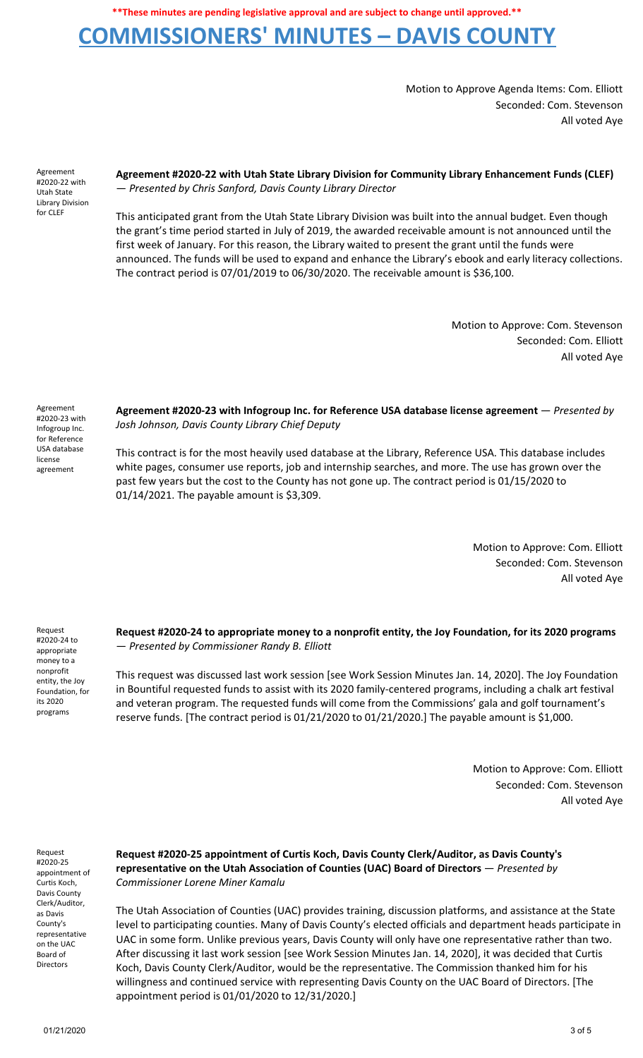## **COMMISSIONERS' MINUTES – DAVIS COUNTY**

Motion to Approve Agenda Items: Com. Elliott Seconded: Com. Stevenson All voted Aye

Agreement #2020-22 with Utah State Library Division for CLEF

**Agreement #2020-22 with Utah State Library Division for Community Library Enhancement Funds (CLEF)** — *Presented by Chris Sanford, Davis County Library Director*

This anticipated grant from the Utah State Library Division was built into the annual budget. Even though the grant's time period started in July of 2019, the awarded receivable amount is not announced until the first week of January. For this reason, the Library waited to present the grant until the funds were announced. The funds will be used to expand and enhance the Library's ebook and early literacy collections. The contract period is 07/01/2019 to 06/30/2020. The receivable amount is \$36,100.

> Motion to Approve: Com. Stevenson Seconded: Com. Elliott All voted Aye

Agreement #2020-23 with Infogroup Inc. for Reference USA database license agreement

**Agreement #2020-23 with Infogroup Inc. for Reference USA database license agreement** — *Presented by Josh Johnson, Davis County Library Chief Deputy*

This contract is for the most heavily used database at the Library, Reference USA. This database includes white pages, consumer use reports, job and internship searches, and more. The use has grown over the past few years but the cost to the County has not gone up. The contract period is 01/15/2020 to 01/14/2021. The payable amount is \$3,309.

> Motion to Approve: Com. Elliott Seconded: Com. Stevenson All voted Aye

Request #2020-24 to appropriate money to a nonprofit entity, the Joy Foundation, for its 2020 programs

**Request #2020-24 to appropriate money to a nonprofit entity, the Joy Foundation, for its 2020 programs** — *Presented by Commissioner Randy B. Elliott*

This request was discussed last work session [see Work Session Minutes Jan. 14, 2020]. The Joy Foundation in Bountiful requested funds to assist with its 2020 family-centered programs, including a chalk art festival and veteran program. The requested funds will come from the Commissions' gala and golf tournament's reserve funds. [The contract period is 01/21/2020 to 01/21/2020.] The payable amount is \$1,000.

> Motion to Approve: Com. Elliott Seconded: Com. Stevenson All voted Aye

Request #2020-25 appointment of Curtis Koch, Davis County Clerk/Auditor, as Davis County's representative on the UAC Board of Directors

**Request #2020-25 appointment of Curtis Koch, Davis County Clerk/Auditor, as Davis County's representative on the Utah Association of Counties (UAC) Board of Directors** — *Presented by Commissioner Lorene Miner Kamalu*

The Utah Association of Counties (UAC) provides training, discussion platforms, and assistance at the State level to participating counties. Many of Davis County's elected officials and department heads participate in UAC in some form. Unlike previous years, Davis County will only have one representative rather than two. After discussing it last work session [see Work Session Minutes Jan. 14, 2020], it was decided that Curtis Koch, Davis County Clerk/Auditor, would be the representative. The Commission thanked him for his willingness and continued service with representing Davis County on the UAC Board of Directors. [The appointment period is 01/01/2020 to 12/31/2020.]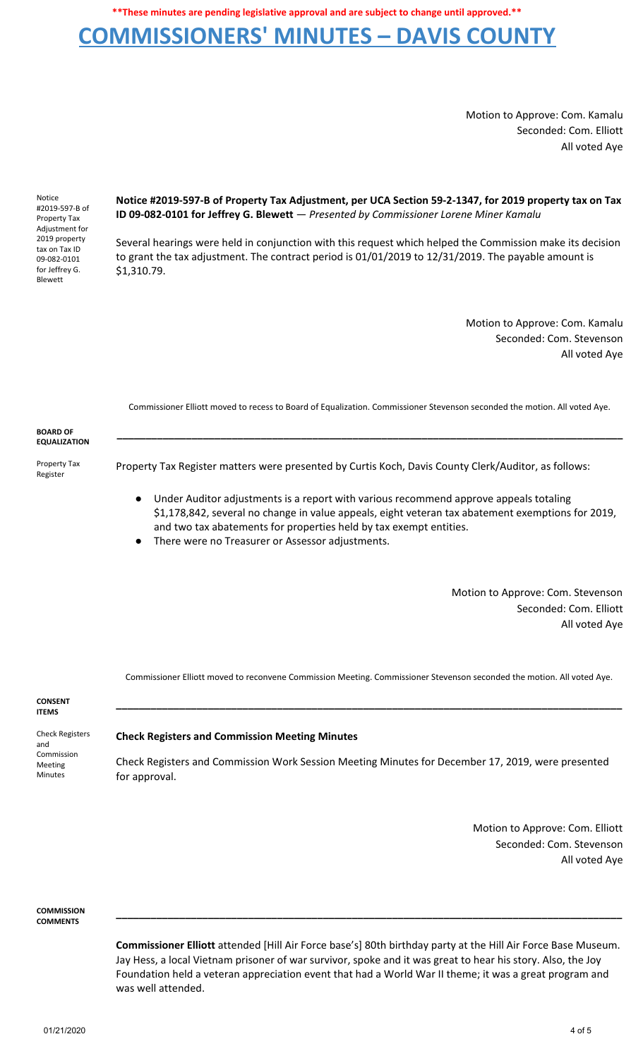## **COMMISSIONERS' MINUTES – DAVIS COUNTY**

Motion to Approve: Com. Kamalu Seconded: Com. Elliott All voted Aye

Notice #2019-597-B of Property Tax Adjustment for 2019 property tax on Tax ID 09-082-0101 for Jeffrey G. Blewett

**Notice #2019-597-B of Property Tax Adjustment, per UCA Section 59-2-1347, for 2019 property tax on Tax ID 09-082-0101 for Jeffrey G. Blewett** — *Presented by Commissioner Lorene Miner Kamalu*

Several hearings were held in conjunction with this request which helped the Commission make its decision to grant the tax adjustment. The contract period is 01/01/2019 to 12/31/2019. The payable amount is \$1,310.79.

> Motion to Approve: Com. Kamalu Seconded: Com. Stevenson All voted Aye

Commissioner Elliott moved to recess to Board of Equalization. Commissioner Stevenson seconded the motion. All voted Aye.

**\_\_\_\_\_\_\_\_\_\_\_\_\_\_\_\_\_\_\_\_\_\_\_\_\_\_\_\_\_\_\_\_\_\_\_\_\_\_\_\_\_\_\_\_\_\_\_\_\_\_\_\_\_\_\_\_\_\_\_\_\_\_\_\_\_\_\_\_\_\_\_\_\_\_\_\_\_\_\_\_\_\_\_\_\_\_\_\_**

#### **BOARD OF EQUALIZATION**

Property Tax Register

Property Tax Register matters were presented by Curtis Koch, Davis County Clerk/Auditor, as follows:

- Under Auditor adjustments is a report with various recommend approve appeals totaling \$1,178,842, several no change in value appeals, eight veteran tax abatement exemptions for 2019, and two tax abatements for properties held by tax exempt entities.
- There were no Treasurer or Assessor adjustments.

Motion to Approve: Com. Stevenson Seconded: Com. Elliott All voted Aye

Commissioner Elliott moved to reconvene Commission Meeting. Commissioner Stevenson seconded the motion. All voted Aye.

**\_\_\_\_\_\_\_\_\_\_\_\_\_\_\_\_\_\_\_\_\_\_\_\_\_\_\_\_\_\_\_\_\_\_\_\_\_\_\_\_\_\_\_\_\_\_\_\_\_\_\_\_\_\_\_\_\_\_\_\_\_\_\_\_\_\_\_\_\_\_\_\_\_\_\_\_\_\_\_\_\_\_\_\_\_\_\_\_**

#### **CONSENT ITEMS**

Check Registers and Commission Meeting Minutes

### **Check Registers and Commission Meeting Minutes**

Check Registers and Commission Work Session Meeting Minutes for December 17, 2019, were presented for approval.

> Motion to Approve: Com. Elliott Seconded: Com. Stevenson All voted Aye

**COMMISSION COMMENTS**

> **Commissioner Elliott** attended [Hill Air Force base's] 80th birthday party at the Hill Air Force Base Museum. Jay Hess, a local Vietnam prisoner of war survivor, spoke and it was great to hear his story. Also, the Joy Foundation held a veteran appreciation event that had a World War II theme; it was a great program and was well attended.

> **\_\_\_\_\_\_\_\_\_\_\_\_\_\_\_\_\_\_\_\_\_\_\_\_\_\_\_\_\_\_\_\_\_\_\_\_\_\_\_\_\_\_\_\_\_\_\_\_\_\_\_\_\_\_\_\_\_\_\_\_\_\_\_\_\_\_\_\_\_\_\_\_\_\_\_\_\_\_\_\_\_\_\_\_\_\_\_\_**